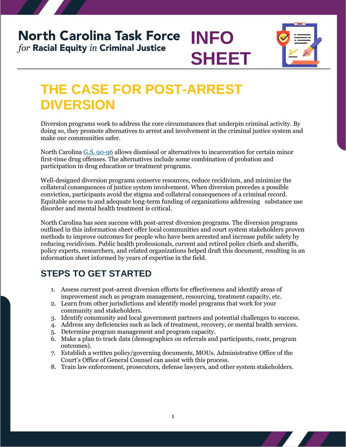## **North Carolina Task Force INFO** for Racial Equity in Criminal Justice **SHEET**



# **THE CASE FOR POST-ARREST DIVERSION**

Diversion programs work to address the core circumstances that underpin criminal activity. By doing so, they promote alternatives to arrest and involvement in the criminal justice system and make our communities safer.

North Carolina [G.S. 90-96](https://www.ncleg.gov/EnactedLegislation/Statutes/PDF/BySection/Chapter_90/GS_90-96.pdf) allows dismissal or alternatives to incarceration for certain minor first-time drug offenses. The alternatives include some combination of probation and participation in drug education or treatment programs.

Well-designed diversion programs conserve resources, reduce recidivism, and minimize the collateral consequences of justice system involvement. When diversion precedes a possible conviction, participants avoid the stigma and collateral consequences of a criminal record. Equitable access to and adequate long-term funding of organizations addressing substance use disorder and mental health treatment is critical.

North Carolina has seen success with post-arrest diversion programs. The diversion programs outlined in this information sheet offer local communities and court system stakeholders proven methods to improve outcomes for people who have been arrested and increase public safety by reducing recidivism. Public health professionals, current and retired police chiefs and sheriffs, policy experts, researchers, and related organizations helped draft this document, resulting in an information sheet informed by years of expertise in the field.

### **STEPS TO GET STARTED**

- 1. Assess current post-arrest diversion efforts for effectiveness and identify areas of improvement such as program management, resourcing, treatment capacity, etc.
- 2. Learn from other jurisdictions and identify model programs that work for your community and stakeholders.
- 3. Identify community and local government partners and potential challenges to success.
- 4. Address any deficiencies such as lack of treatment, recovery, or mental health services.
- 5. Determine program management and program capacity.
- 6. Make a plan to track data (demographics on referrals and participants, costs, program outcomes).
- 7. Establish a written policy/governing documents, MOUs. Administrative Office of the Court's Office of General Counsel can assist with this process.
- 8. Train law enforcement, prosecutors, defense lawyers, and other system stakeholders.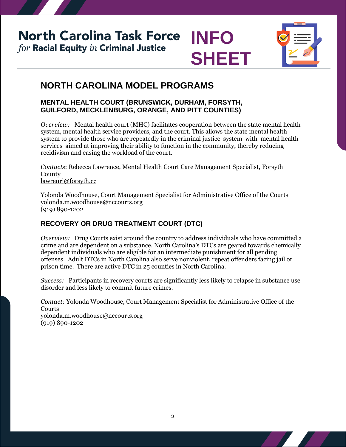**North Carolina Task Force INFO** for Racial Equity in Criminal Justice



### **NORTH CAROLINA MODEL PROGRAMS**

#### **[MENTAL HEALTH COURT](https://www.nccourts.gov/courts/recovery-courts/mental-health-court) (BRUNSWICK, DURHAM, FORSYTH, GUILFORD, MECKLENBURG, ORANGE, AND PITT COUNTIES)**

*Overview:* Mental health court (MHC) facilitates cooperation between the state mental health system, mental health service providers, and the court. This allows the state mental health system to provide those who are repeatedly in the criminal justice system with mental health services aimed at improving their ability to function in the community, thereby reducing recidivism and easing the workload of the court.

**SHEET**

*Contacts*: Rebecca Lawrence, Mental Health Court Care Management Specialist, Forsyth County lawrenrj@forsyth.cc

Yolonda Woodhouse, Court Management Specialist for Administrative Office of the Courts [yolonda.m.woodhouse@nccourts.org](mailto:yolonda.m.woodhouse@nccourts.org) (919) 890-1202

#### **[RECOVERY](https://www.nccourts.gov/courts/recovery-courts) OR [DRUG TREATMENT](https://www.nccourts.gov/courts/recovery-courts/adult-drug-treatment-court) COURT (DTC)**

*Overview:* Drug Courts exist around the country to address individuals who have committed a crime and are dependent on a substance. North Carolina's DTCs are geared towards chemically dependent individuals who are eligible for an intermediate punishment for all pending offenses. Adult DTCs in North Carolina also serve nonviolent, repeat offenders facing jail or prison time. There are active DTC in 25 counties in North Carolina.

*Success:* Participants in recovery courts are significantly less likely to relapse in substance use disorder and less likely to commit future crimes.

*Contact:* Yolonda Woodhouse, Court Management Specialist for Administrative Office of the **Courts** [yolonda.m.woodhouse@nccourts.org](mailto:yolonda.m.woodhouse@nccourts.org)  (919) 890-1202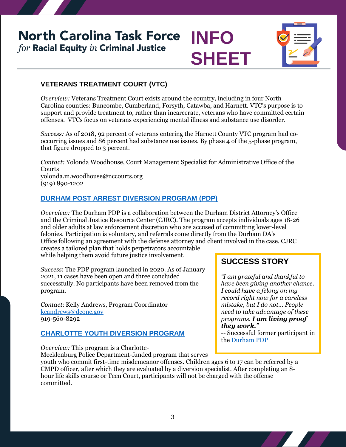## **North Carolina Task Force INFO** for Racial Equity in Criminal Justice





#### **[VETERANS TREATMENT COURT](https://www.nccourts.gov/courts/recovery-courts/veterans-treatment-court) (VTC)**

*Overview:* Veterans Treatment Court exists around the country, including in four North Carolina counties: Buncombe, Cumberland, Forsyth, Catawba, and Harnett. VTC's purpose is to support and provide treatment to, rather than incarcerate, veterans who have committed certain offenses. VTCs focus on veterans experiencing mental illness and substance use disorder.

*Success:* As of 2018, 92 percent of veterans entering the Harnett County VTC program had cooccurring issues and 86 percent had substance use issues. By phase 4 of the 5-phase program, that figure dropped to 3 percent.

*Contact:* Yolonda Woodhouse, Court Management Specialist for Administrative Office of the **Courts** [yolonda.m.woodhouse@nccourts.org](mailto:yolonda.m.woodhouse@nccourts.org)  (919) 890-1202

#### **[DURHAM POST ARREST DIVERSION PROGRAM \(PDP\)](https://www.dconc.gov/county-departments/departments-a-e/criminal-justice-resource-center/diversion-program/post-arrest-diversion)**

*Overview:* The Durham PDP is a collaboration between the Durham District Attorney's Office and the Criminal Justice Resource Center (CJRC). The program accepts individuals ages 18-26 and older adults at law enforcement discretion who are accused of committing lower-level felonies. Participation is voluntary, and referrals come directly from the Durham DA's Office following an agreement with the defense attorney and client involved in the case. CJRC creates a tailored plan that holds perpetrators accountable while helping them avoid future justice involvement.

*Success*: The PDP program launched in 2020. As of January 2021, 11 cases have been open and three concluded successfully. No participants have been removed from the program.

*Contact*: Kelly Andrews, Program Coordinator [kcandrews@dconc.gov](mailto:kcandrews@dconc.gov)  919-560-8292

committed.

#### **[CHARLOTTE YOUTH DIVERSION PROGRAM](https://charlottenc.gov/CMPD/Organization/Pages/SupportSvcs/YouthDiversionProgram.aspx)**

*Overview:* This program is a Charlotte-Mecklenburg Police Department-funded program that serves youth who commit first-time misdemeanor offenses. Children ages 6 to 17 can be referred by a

### **SUCCESS STORY**

the [Durham PDP](https://www.dconc.gov/county-departments/departments-a-e/criminal-justice-resource-center/diversion-program/post-arrest-diversion)

*"I am grateful and thankful to have been giving another chance. I could have a felony on my record right now for a careless mistake, but I do not... People need to take advantage of these programs. I am living proof they work." --* Successful former participant in

CMPD officer, after which they are evaluated by a diversion specialist. After completing an 8-

hour life skills course or Teen Court, participants will not be charged with the offense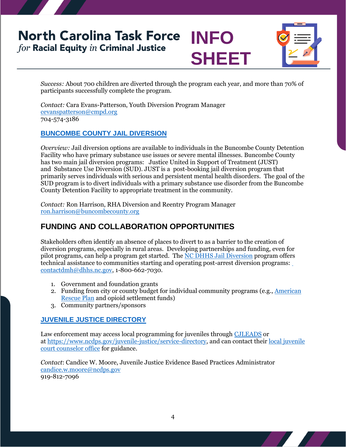## **North Carolina Task Force INFO** for Racial Equity in Criminal Justice





*Success:* About 700 children are diverted through the program each year, and more than 70% of participants successfully complete the program.

*Contact:* Cara Evans-Patterson, Youth Diversion Program Manager [cevanspatterson@cmpd.org](mailto:cevanspatterson@cmpd.org)  704-574-3186

#### **[BUNCOMBE COUNTY JAIL DIVERSION](https://www.buncombecounty.org/governing/depts/justice-services/programs-services/jail-diversion-reentry-services.aspx)**

*Overview:* Jail diversion options are available to individuals in the Buncombe County Detention Facility who have primary substance use issues or severe mental illnesses. Buncombe County has two main jail diversion programs: Justice United in Support of Treatment (JUST) and Substance Use Diversion (SUD). JUST is a post-booking jail diversion program that primarily serves individuals with serious and persistent mental health disorders. The goal of the SUD program is to divert individuals with a primary substance use disorder from the Buncombe County Detention Facility to appropriate treatment in the community.

*Contact:* Ron Harrison, RHA Diversion and Reentry Program Manager [ron.harrison@buncombecounty.org](mailto:ron.harrison@buncombecounty.org) 

### **FUNDING AND COLLABORATION OPPORTUNITIES**

Stakeholders often identify an absence of places to divert to as a barrier to the creation of diversion programs, especially in rural areas. Developing partnerships and funding, even for pilot programs, can help a program get started. The [NC DHHS Jail Diversion](https://www.ncdhhs.gov/divisions/mental-health-developmental-disabilities-and-substance-abuse/jail-diversion) program offe[rs](mailto:contactdmh@dhhs.nc.gov)  technical assistance to communities starting and operating post-arrest diversion programs: [contactdmh@dhhs.nc.gov,](mailto:contactdmh@dhhs.nc.gov) 1-800-662-7030.

- 1. Government and foundation grants
- 2. Funding from city or county budget for individual community programs (e.g., [American](https://www.whitehouse.gov/american-rescue-plan/)  [Rescue Plan](https://www.whitehouse.gov/american-rescue-plan/) and opioid settlement funds)
- 3. Community partners/sponsors

#### **[JUVENILE JUSTICE DIRECTORY](https://www.ncdps.gov/juvenile-justice/service-directory)**

Law enforcement may access local programming for juveniles through [CJLEADS](https://it.nc.gov/programs/cjleads) or at [https://www.ncdps.gov/juvenile-justice/service-directory,](https://www.ncdps.gov/juvenile-justice/service-directory) and can contact their [local juvenile](https://www.ncdps.gov/Juvenile-Justice/Juvenile-Court-Services)  [court counselor office](https://www.ncdps.gov/Juvenile-Justice/Juvenile-Court-Services) for guidance.

*Contact*: Candice W. Moore, Juvenile Justice Evidence Based Practices Administrator [candice.w.moore@ncdps.gov](mailto:candice.w.moore@ncdps.gov) 919-812-7096